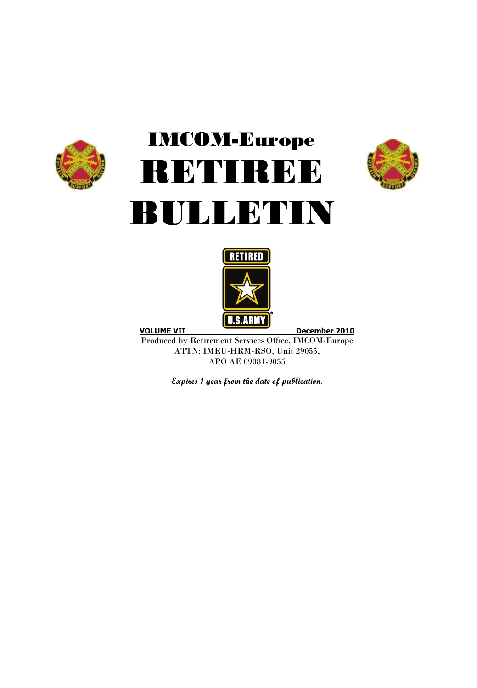

# IMCOM-Europe RETIREE BULLETIN





Produced by Retirement Services Office, IMCOM-Europe ATTN: IMEU-HRM-RSO, Unit 29055, APO AE 09081-9055

**Expires 1 year from the date of publication.**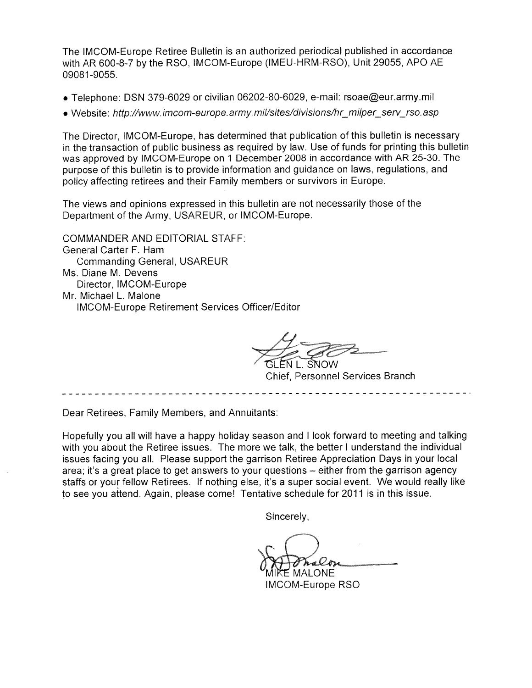The IMCOM-Europe Retiree Bulletin is an authorized periodical published in accordance with AR 600-8-7 by the RSO, IMCOM-Europe (IMEU-HRM-RSO). Unit 29055. APO AE 09081-9055.

- Telephone: DSN 379-6029 or civilian 06202-80-6029, e-mail: rsoae@eur.army.mil
- Website: http://www.imcom-europe.army.mil/sites/divisions/hr\_milper\_serv\_rso.asp

The Director, IMCOM-Europe, has determined that publication of this bulletin is necessary in the transaction of public business as required by law. Use of funds for printing this bulletin was approved by IMCOM-Europe on 1 December 2008 in accordance with AR 25-30. The purpose of this bulletin is to provide information and quidance on laws, regulations, and policy affecting retirees and their Family members or survivors in Europe.

The views and opinions expressed in this bulletin are not necessarily those of the Department of the Army, USAREUR, or IMCOM-Europe.

**COMMANDER AND EDITORIAL STAFF:** General Carter F. Ham **Commanding General, USAREUR** Ms. Diane M. Devens Director, IMCOM-Europe Mr. Michael L. Malone **IMCOM-Europe Retirement Services Officer/Editor** 

SNOW

**Chief, Personnel Services Branch** 

Dear Retirees, Family Members, and Annuitants:

Hopefully you all will have a happy holiday season and I look forward to meeting and talking with you about the Retiree issues. The more we talk, the better I understand the individual issues facing you all. Please support the garrison Retiree Appreciation Days in your local area; it's a great place to get answers to your questions - either from the garrison agency staffs or your fellow Retirees. If nothing else, it's a super social event. We would really like to see you attend. Again, please come! Tentative schedule for 2011 is in this issue.

Sincerely,

.ONE

**IMCOM-Europe RSO**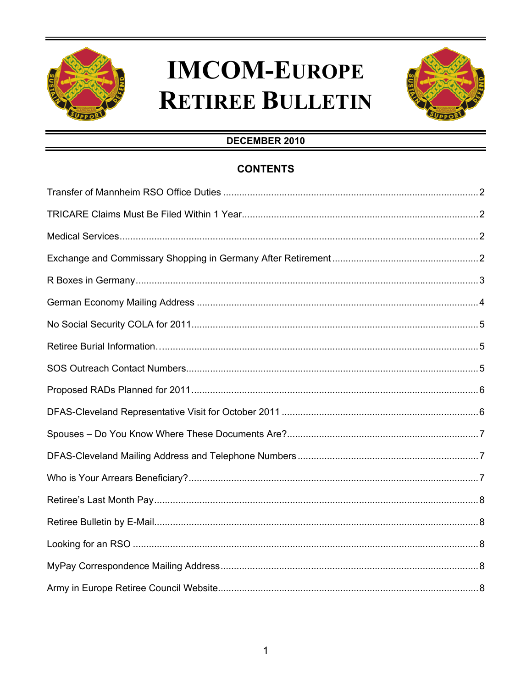

## **IMCOM-EUROPE RETIREE BULLETIN**



### DECEMBER 2010

### **CONTENTS**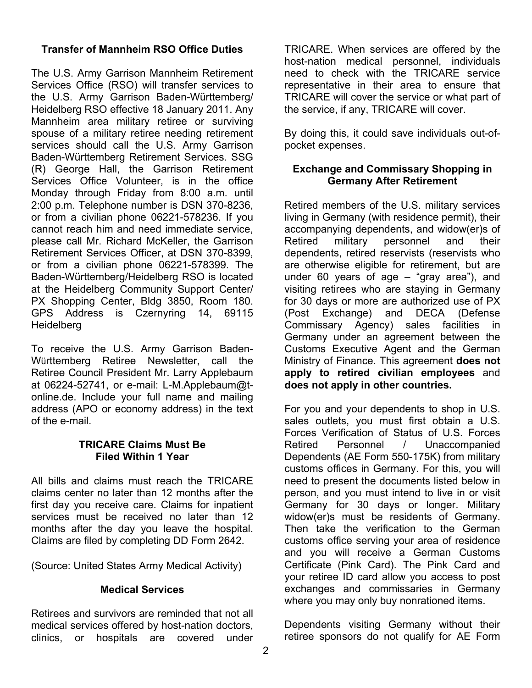### **Transfer of Mannheim RSO Office Duties**

The U.S. Army Garrison Mannheim Retirement Services Office (RSO) will transfer services to the U.S. Army Garrison Baden-Württemberg/ Heidelberg RSO effective 18 January 2011. Any Mannheim area military retiree or surviving spouse of a military retiree needing retirement services should call the U.S. Army Garrison Baden-Württemberg Retirement Services. SSG (R) George Hall, the Garrison Retirement Services Office Volunteer, is in the office Monday through Friday from 8:00 a.m. until 2:00 p.m. Telephone number is DSN 370-8236, or from a civilian phone 06221-578236. If you cannot reach him and need immediate service, please call Mr. Richard McKeller, the Garrison Retirement Services Officer, at DSN 370-8399, or from a civilian phone 06221-578399. The Baden-Württemberg/Heidelberg RSO is located at the Heidelberg Community Support Center/ PX Shopping Center, Bldg 3850, Room 180. GPS Address is Czernyring 14, 69115 **Heidelberg** 

To receive the U.S. Army Garrison Baden-Württemberg Retiree Newsletter, call the Retiree Council President Mr. Larry Applebaum at 06224-52741, or e-mail: L-M.Applebaum@tonline.de. Include your full name and mailing address (APO or economy address) in the text of the e-mail.

#### **TRICARE Claims Must Be Filed Within 1 Year**

All bills and claims must reach the TRICARE claims center no later than 12 months after the first day you receive care. Claims for inpatient services must be received no later than 12 months after the day you leave the hospital. Claims are filed by completing DD Form 2642.

(Source: United States Army Medical Activity)

### **Medical Services**

Retirees and survivors are reminded that not all medical services offered by host-nation doctors, clinics, or hospitals are covered under TRICARE. When services are offered by the host-nation medical personnel, individuals need to check with the TRICARE service representative in their area to ensure that TRICARE will cover the service or what part of the service, if any, TRICARE will cover.

By doing this, it could save individuals out-ofpocket expenses.

### **Exchange and Commissary Shopping in Germany After Retirement**

Retired members of the U.S. military services living in Germany (with residence permit), their accompanying dependents, and widow(er)s of Retired military personnel and their dependents, retired reservists (reservists who are otherwise eligible for retirement, but are under 60 years of age – "gray area"), and visiting retirees who are staying in Germany for 30 days or more are authorized use of PX (Post Exchange) and DECA (Defense Commissary Agency) sales facilities in Germany under an agreement between the Customs Executive Agent and the German Ministry of Finance. This agreement **does not apply to retired civilian employees** and **does not apply in other countries.** 

For you and your dependents to shop in U.S. sales outlets, you must first obtain a U.S. Forces Verification of Status of U.S. Forces Retired Personnel / Unaccompanied Dependents (AE Form 550-175K) from military customs offices in Germany. For this, you will need to present the documents listed below in person, and you must intend to live in or visit Germany for 30 days or longer. Military widow(er)s must be residents of Germany. Then take the verification to the German customs office serving your area of residence and you will receive a German Customs Certificate (Pink Card). The Pink Card and your retiree ID card allow you access to post exchanges and commissaries in Germany where you may only buy nonrationed items.

Dependents visiting Germany without their retiree sponsors do not qualify for AE Form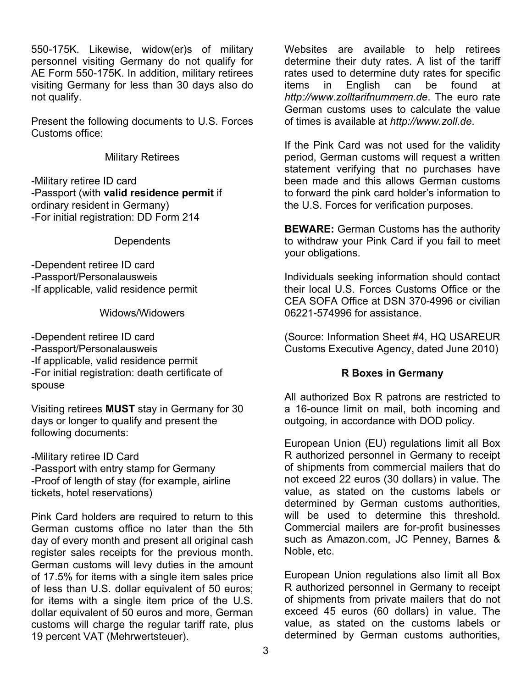550-175K. Likewise, widow(er)s of military personnel visiting Germany do not qualify for AE Form 550-175K. In addition, military retirees visiting Germany for less than 30 days also do not qualify.

Present the following documents to U.S. Forces Customs office:

#### Military Retirees

-Military retiree ID card -Passport (with **valid residence permit** if ordinary resident in Germany) -For initial registration: DD Form 214

**Dependents** 

-Dependent retiree ID card -Passport/Personalausweis -If applicable, valid residence permit

Widows/Widowers

-Dependent retiree ID card -Passport/Personalausweis -If applicable, valid residence permit -For initial registration: death certificate of spouse

Visiting retirees **MUST** stay in Germany for 30 days or longer to qualify and present the following documents:

-Military retiree ID Card -Passport with entry stamp for Germany -Proof of length of stay (for example, airline tickets, hotel reservations)

Pink Card holders are required to return to this German customs office no later than the 5th day of every month and present all original cash register sales receipts for the previous month. German customs will levy duties in the amount of 17.5% for items with a single item sales price of less than U.S. dollar equivalent of 50 euros; for items with a single item price of the U.S. dollar equivalent of 50 euros and more, German customs will charge the regular tariff rate, plus 19 percent VAT (Mehrwertsteuer).

Websites are available to help retirees determine their duty rates. A list of the tariff rates used to determine duty rates for specific<br>items in English can be found at items in English can be found at *http://www.zolltarifnummern.de*. The euro rate German customs uses to calculate the value of times is available at *http://www.zoll.de*.

If the Pink Card was not used for the validity period, German customs will request a written statement verifying that no purchases have been made and this allows German customs to forward the pink card holder's information to the U.S. Forces for verification purposes.

**BEWARE:** German Customs has the authority to withdraw your Pink Card if you fail to meet your obligations.

Individuals seeking information should contact their local U.S. Forces Customs Office or the CEA SOFA Office at DSN 370-4996 or civilian 06221-574996 for assistance.

(Source: Information Sheet #4, HQ USAREUR Customs Executive Agency, dated June 2010)

#### **R Boxes in Germany**

All authorized Box R patrons are restricted to a 16-ounce limit on mail, both incoming and outgoing, in accordance with DOD policy.

European Union (EU) regulations limit all Box R authorized personnel in Germany to receipt of shipments from commercial mailers that do not exceed 22 euros (30 dollars) in value. The value, as stated on the customs labels or determined by German customs authorities, will be used to determine this threshold. Commercial mailers are for-profit businesses such as Amazon.com, JC Penney, Barnes & Noble, etc.

European Union regulations also limit all Box R authorized personnel in Germany to receipt of shipments from private mailers that do not exceed 45 euros (60 dollars) in value. The value, as stated on the customs labels or determined by German customs authorities,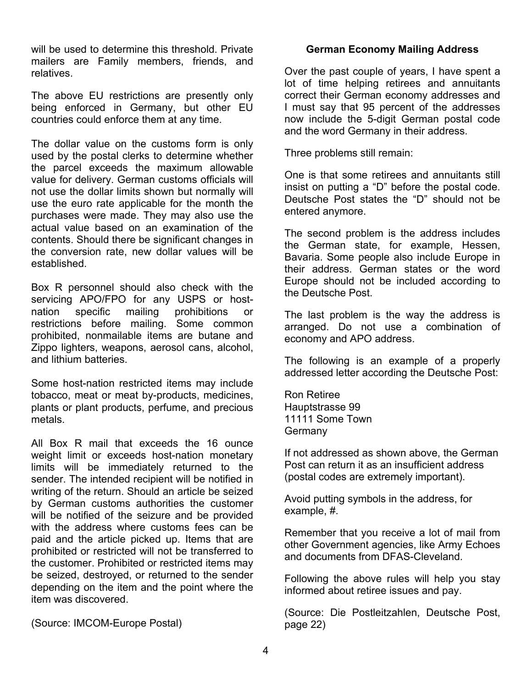will be used to determine this threshold. Private mailers are Family members, friends, and relatives.

The above EU restrictions are presently only being enforced in Germany, but other EU countries could enforce them at any time.

The dollar value on the customs form is only used by the postal clerks to determine whether the parcel exceeds the maximum allowable value for delivery. German customs officials will not use the dollar limits shown but normally will use the euro rate applicable for the month the purchases were made. They may also use the actual value based on an examination of the contents. Should there be significant changes in the conversion rate, new dollar values will be established.

Box R personnel should also check with the servicing APO/FPO for any USPS or hostnation specific mailing prohibitions or restrictions before mailing. Some common prohibited, nonmailable items are butane and Zippo lighters, weapons, aerosol cans, alcohol, and lithium batteries.

Some host-nation restricted items may include tobacco, meat or meat by-products, medicines, plants or plant products, perfume, and precious metals.

All Box R mail that exceeds the 16 ounce weight limit or exceeds host-nation monetary limits will be immediately returned to the sender. The intended recipient will be notified in writing of the return. Should an article be seized by German customs authorities the customer will be notified of the seizure and be provided with the address where customs fees can be paid and the article picked up. Items that are prohibited or restricted will not be transferred to the customer. Prohibited or restricted items may be seized, destroyed, or returned to the sender depending on the item and the point where the item was discovered.

(Source: IMCOM-Europe Postal)

### **German Economy Mailing Address**

Over the past couple of years, I have spent a lot of time helping retirees and annuitants correct their German economy addresses and I must say that 95 percent of the addresses now include the 5-digit German postal code and the word Germany in their address.

Three problems still remain:

One is that some retirees and annuitants still insist on putting a "D" before the postal code. Deutsche Post states the "D" should not be entered anymore.

The second problem is the address includes the German state, for example, Hessen, Bavaria. Some people also include Europe in their address. German states or the word Europe should not be included according to the Deutsche Post.

The last problem is the way the address is arranged. Do not use a combination of economy and APO address.

The following is an example of a properly addressed letter according the Deutsche Post:

Ron Retiree Hauptstrasse 99 11111 Some Town **Germany** 

If not addressed as shown above, the German Post can return it as an insufficient address (postal codes are extremely important).

Avoid putting symbols in the address, for example, #.

Remember that you receive a lot of mail from other Government agencies, like Army Echoes and documents from DFAS-Cleveland.

Following the above rules will help you stay informed about retiree issues and pay.

(Source: Die Postleitzahlen, Deutsche Post, page 22)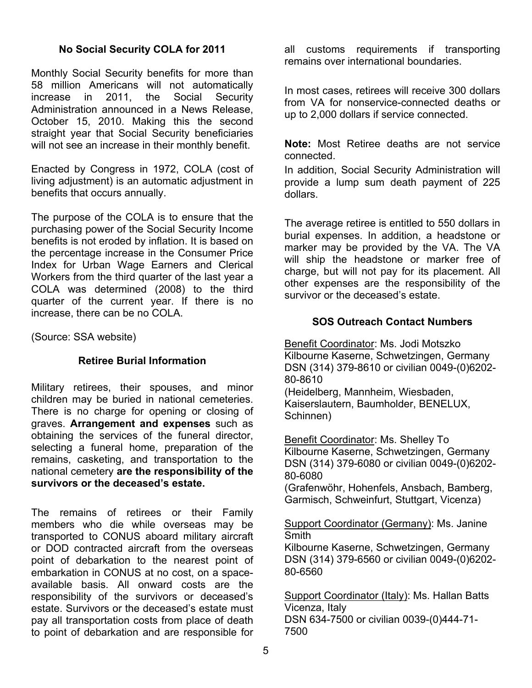#### **No Social Security COLA for 2011**

Monthly Social Security benefits for more than 58 million Americans will not automatically increase in 2011, the Social Security Administration announced in a News Release, October 15, 2010. Making this the second straight year that Social Security beneficiaries will not see an increase in their monthly benefit.

Enacted by Congress in 1972, COLA (cost of living adjustment) is an automatic adjustment in benefits that occurs annually.

The purpose of the COLA is to ensure that the purchasing power of the Social Security Income benefits is not eroded by inflation. It is based on the percentage increase in the Consumer Price Index for Urban Wage Earners and Clerical Workers from the third quarter of the last year a COLA was determined (2008) to the third quarter of the current year. If there is no increase, there can be no COLA.

(Source: SSA website)

### **Retiree Burial Information**

Military retirees, their spouses, and minor children may be buried in national cemeteries. There is no charge for opening or closing of graves. **Arrangement and expenses** such as obtaining the services of the funeral director, selecting a funeral home, preparation of the remains, casketing, and transportation to the national cemetery **are the responsibility of the survivors or the deceased's estate.** 

The remains of retirees or their Family members who die while overseas may be transported to CONUS aboard military aircraft or DOD contracted aircraft from the overseas point of debarkation to the nearest point of embarkation in CONUS at no cost, on a spaceavailable basis. All onward costs are the responsibility of the survivors or deceased's estate. Survivors or the deceased's estate must pay all transportation costs from place of death to point of debarkation and are responsible for all customs requirements if transporting remains over international boundaries.

In most cases, retirees will receive 300 dollars from VA for nonservice-connected deaths or up to 2,000 dollars if service connected.

**Note:** Most Retiree deaths are not service connected.

In addition, Social Security Administration will provide a lump sum death payment of 225 dollars.

The average retiree is entitled to 550 dollars in burial expenses. In addition, a headstone or marker may be provided by the VA. The VA will ship the headstone or marker free of charge, but will not pay for its placement. All other expenses are the responsibility of the survivor or the deceased's estate.

### **SOS Outreach Contact Numbers**

Benefit Coordinator: Ms. Jodi Motszko Kilbourne Kaserne, Schwetzingen, Germany DSN (314) 379-8610 or civilian 0049-(0)6202- 80-8610 (Heidelberg, Mannheim, Wiesbaden, Kaiserslautern, Baumholder, BENELUX,

Schinnen)

Benefit Coordinator: Ms. Shelley To Kilbourne Kaserne, Schwetzingen, Germany DSN (314) 379-6080 or civilian 0049-(0)6202- 80-6080

(Grafenwöhr, Hohenfels, Ansbach, Bamberg, Garmisch, Schweinfurt, Stuttgart, Vicenza)

#### Support Coordinator (Germany): Ms. Janine Smith

Kilbourne Kaserne, Schwetzingen, Germany DSN (314) 379-6560 or civilian 0049-(0)6202- 80-6560

Support Coordinator (Italy): Ms. Hallan Batts Vicenza, Italy DSN 634-7500 or civilian 0039-(0)444-71- 7500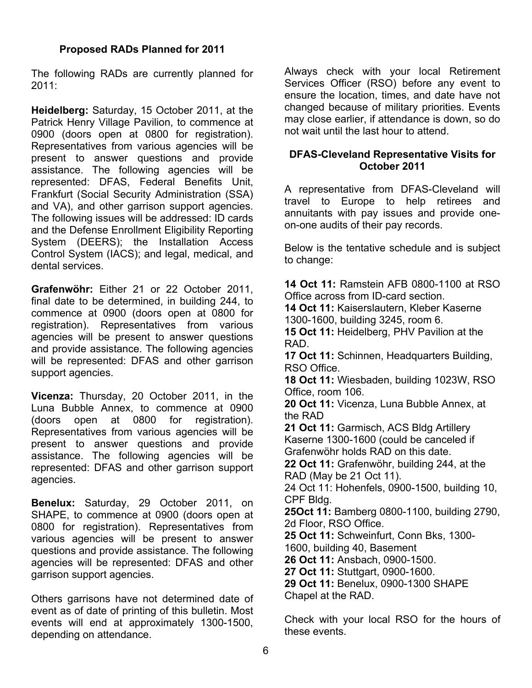#### **Proposed RADs Planned for 2011**

The following RADs are currently planned for 2011:

**Heidelberg:** Saturday, 15 October 2011, at the Patrick Henry Village Pavilion, to commence at 0900 (doors open at 0800 for registration). Representatives from various agencies will be present to answer questions and provide assistance. The following agencies will be represented: DFAS, Federal Benefits Unit, Frankfurt (Social Security Administration (SSA) and VA), and other garrison support agencies. The following issues will be addressed: ID cards and the Defense Enrollment Eligibility Reporting System (DEERS); the Installation Access Control System (IACS); and legal, medical, and dental services.

**Grafenwöhr:** Either 21 or 22 October 2011, final date to be determined, in building 244, to commence at 0900 (doors open at 0800 for registration). Representatives from various agencies will be present to answer questions and provide assistance. The following agencies will be represented: DFAS and other garrison support agencies.

**Vicenza:** Thursday, 20 October 2011, in the Luna Bubble Annex, to commence at 0900 (doors open at 0800 for registration). Representatives from various agencies will be present to answer questions and provide assistance. The following agencies will be represented: DFAS and other garrison support agencies.

**Benelux:** Saturday, 29 October 2011, on SHAPE, to commence at 0900 (doors open at 0800 for registration). Representatives from various agencies will be present to answer questions and provide assistance. The following agencies will be represented: DFAS and other garrison support agencies.

Others garrisons have not determined date of event as of date of printing of this bulletin. Most events will end at approximately 1300-1500, depending on attendance.

Always check with your local Retirement Services Officer (RSO) before any event to ensure the location, times, and date have not changed because of military priorities. Events may close earlier, if attendance is down, so do not wait until the last hour to attend.

### **DFAS-Cleveland Representative Visits for October 2011**

A representative from DFAS-Cleveland will travel to Europe to help retirees and annuitants with pay issues and provide oneon-one audits of their pay records.

Below is the tentative schedule and is subject to change:

**14 Oct 11:** Ramstein AFB 0800-1100 at RSO Office across from ID-card section. **14 Oct 11:** Kaiserslautern, Kleber Kaserne 1300-1600, building 3245, room 6. **15 Oct 11:** Heidelberg, PHV Pavilion at the RAD. **17 Oct 11:** Schinnen, Headquarters Building, RSO Office. **18 Oct 11:** Wiesbaden, building 1023W, RSO Office, room 106. **20 Oct 11:** Vicenza, Luna Bubble Annex, at the RAD **21 Oct 11:** Garmisch, ACS Bldg Artillery Kaserne 1300-1600 (could be canceled if Grafenwöhr holds RAD on this date. **22 Oct 11:** Grafenwöhr, building 244, at the RAD (May be 21 Oct 11). 24 Oct 11: Hohenfels, 0900-1500, building 10, CPF Bldg. **25Oct 11:** Bamberg 0800-1100, building 2790, 2d Floor, RSO Office. **25 Oct 11:** Schweinfurt, Conn Bks, 1300- 1600, building 40, Basement **26 Oct 11:** Ansbach, 0900-1500. **27 Oct 11:** Stuttgart, 0900-1600. **29 Oct 11:** Benelux, 0900-1300 SHAPE Chapel at the RAD.

Check with your local RSO for the hours of these events.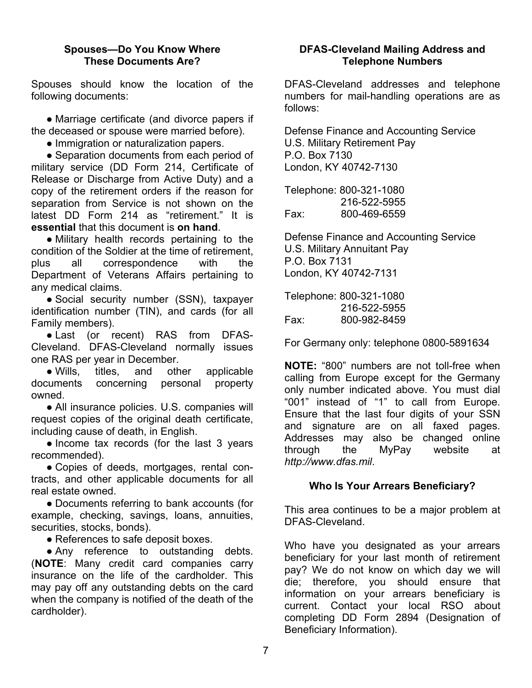#### **Spouses—Do You Know Where These Documents Are?**

Spouses should know the location of the following documents:

**●** Marriage certificate (and divorce papers if the deceased or spouse were married before).

**●** Immigration or naturalization papers.

**●** Separation documents from each period of military service (DD Form 214, Certificate of Release or Discharge from Active Duty) and a copy of the retirement orders if the reason for separation from Service is not shown on the latest DD Form 214 as "retirement." It is **essential** that this document is **on hand**.

**●** Military health records pertaining to the condition of the Soldier at the time of retirement, plus all correspondence with the Department of Veterans Affairs pertaining to any medical claims.

**●** Social security number (SSN), taxpayer identification number (TIN), and cards (for all Family members).

**●** Last (or recent) RAS from DFAS-Cleveland. DFAS-Cleveland normally issues one RAS per year in December.

**●** Wills, titles, and other applicable documents concerning personal property owned.

**●** All insurance policies. U.S. companies will request copies of the original death certificate, including cause of death, in English.

**●** Income tax records (for the last 3 years recommended).

**●** Copies of deeds, mortgages, rental contracts, and other applicable documents for all real estate owned.

**●** Documents referring to bank accounts (for example, checking, savings, loans, annuities, securities, stocks, bonds).

**●** References to safe deposit boxes.

**●** Any reference to outstanding debts. (**NOTE**: Many credit card companies carry insurance on the life of the cardholder. This may pay off any outstanding debts on the card when the company is notified of the death of the cardholder).

### **DFAS-Cleveland Mailing Address and Telephone Numbers**

DFAS-Cleveland addresses and telephone numbers for mail-handling operations are as follows:

Defense Finance and Accounting Service U.S. Military Retirement Pay P.O. Box 7130 London, KY 40742-7130

Telephone: 800-321-1080 216-522-5955 Fax: 800-469-6559

Defense Finance and Accounting Service U.S. Military Annuitant Pay P.O. Box 7131 London, KY 40742-7131

Telephone: 800-321-1080 216-522-5955 Fax: 800-982-8459

For Germany only: telephone 0800-5891634

**NOTE:** "800" numbers are not toll-free when calling from Europe except for the Germany only number indicated above. You must dial "001" instead of "1" to call from Europe. Ensure that the last four digits of your SSN and signature are on all faxed pages. Addresses may also be changed online through the MyPay website at *http://www.dfas.mil*.

### **Who Is Your Arrears Beneficiary?**

This area continues to be a major problem at DFAS-Cleveland.

Who have you designated as your arrears beneficiary for your last month of retirement pay? We do not know on which day we will die; therefore, you should ensure that information on your arrears beneficiary is current. Contact your local RSO about completing DD Form 2894 (Designation of Beneficiary Information).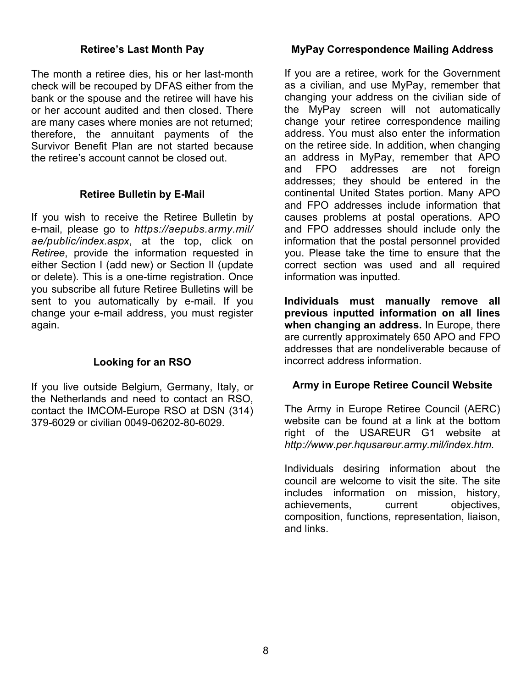#### **Retiree's Last Month Pay**

The month a retiree dies, his or her last-month check will be recouped by DFAS either from the bank or the spouse and the retiree will have his or her account audited and then closed. There are many cases where monies are not returned; therefore, the annuitant payments of the Survivor Benefit Plan are not started because the retiree's account cannot be closed out.

#### **Retiree Bulletin by E-Mail**

If you wish to receive the Retiree Bulletin by e-mail, please go to *https://aepubs.army.mil/ ae/public/index.aspx*, at the top, click on *Retiree*, provide the information requested in either Section I (add new) or Section II (update or delete). This is a one-time registration. Once you subscribe all future Retiree Bulletins will be sent to you automatically by e-mail. If you change your e-mail address, you must register again.

### **Looking for an RSO**

If you live outside Belgium, Germany, Italy, or the Netherlands and need to contact an RSO, contact the IMCOM-Europe RSO at DSN (314) 379-6029 or civilian 0049-06202-80-6029.

### **MyPay Correspondence Mailing Address**

If you are a retiree, work for the Government as a civilian, and use MyPay, remember that changing your address on the civilian side of the MyPay screen will not automatically change your retiree correspondence mailing address. You must also enter the information on the retiree side. In addition, when changing an address in MyPay, remember that APO and FPO addresses are not foreign addresses; they should be entered in the continental United States portion. Many APO and FPO addresses include information that causes problems at postal operations. APO and FPO addresses should include only the information that the postal personnel provided you. Please take the time to ensure that the correct section was used and all required information was inputted.

**Individuals must manually remove all previous inputted information on all lines when changing an address.** In Europe, there are currently approximately 650 APO and FPO addresses that are nondeliverable because of incorrect address information.

### **Army in Europe Retiree Council Website**

The Army in Europe Retiree Council (AERC) website can be found at a link at the bottom right of the USAREUR G1 website at *http://www.per.hqusareur.army.mil/index.htm.* 

Individuals desiring information about the council are welcome to visit the site. The site includes information on mission, history, achievements, current objectives, composition, functions, representation, liaison, and links.